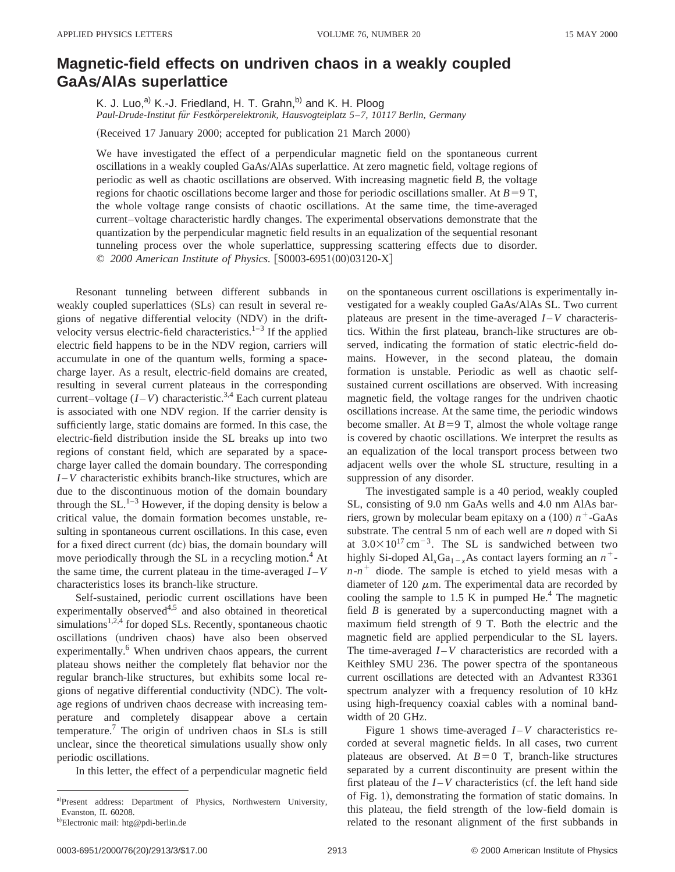## **Magnetic-field effects on undriven chaos in a weakly coupled GaAsÕAlAs superlattice**

K. J. Luo,<sup>a)</sup> K.-J. Friedland, H. T. Grahn,<sup>b)</sup> and K. H. Ploog *Paul-Drude-Institut fu¨r Festko¨rperelektronik, Hausvogteiplatz 5*–*7, 10117 Berlin, Germany*

(Received 17 January 2000; accepted for publication 21 March 2000)

We have investigated the effect of a perpendicular magnetic field on the spontaneous current oscillations in a weakly coupled GaAs/AlAs superlattice. At zero magnetic field, voltage regions of periodic as well as chaotic oscillations are observed. With increasing magnetic field *B*, the voltage regions for chaotic oscillations become larger and those for periodic oscillations smaller. At  $B=9$  T, the whole voltage range consists of chaotic oscillations. At the same time, the time-averaged current–voltage characteristic hardly changes. The experimental observations demonstrate that the quantization by the perpendicular magnetic field results in an equalization of the sequential resonant tunneling process over the whole superlattice, suppressing scattering effects due to disorder. © 2000 American Institute of Physics. [S0003-6951(00)03120-X]

Resonant tunneling between different subbands in weakly coupled superlattices (SLs) can result in several regions of negative differential velocity (NDV) in the driftvelocity versus electric-field characteristics. $1-3$  If the applied electric field happens to be in the NDV region, carriers will accumulate in one of the quantum wells, forming a spacecharge layer. As a result, electric-field domains are created, resulting in several current plateaus in the corresponding current–voltage  $(I-V)$  characteristic.<sup>3,4</sup> Each current plateau is associated with one NDV region. If the carrier density is sufficiently large, static domains are formed. In this case, the electric-field distribution inside the SL breaks up into two regions of constant field, which are separated by a spacecharge layer called the domain boundary. The corresponding *I* –*V* characteristic exhibits branch-like structures, which are due to the discontinuous motion of the domain boundary through the  $SL$ <sup>1–3</sup> However, if the doping density is below a critical value, the domain formation becomes unstable, resulting in spontaneous current oscillations. In this case, even for a fixed direct current (dc) bias, the domain boundary will move periodically through the SL in a recycling motion.<sup>4</sup> At the same time, the current plateau in the time-averaged  $I-V$ characteristics loses its branch-like structure.

Self-sustained, periodic current oscillations have been experimentally observed<sup>4,5</sup> and also obtained in theoretical simulations $1,2,4$  for doped SLs. Recently, spontaneous chaotic oscillations (undriven chaos) have also been observed experimentally.<sup>6</sup> When undriven chaos appears, the current plateau shows neither the completely flat behavior nor the regular branch-like structures, but exhibits some local regions of negative differential conductivity (NDC). The voltage regions of undriven chaos decrease with increasing temperature and completely disappear above a certain temperature.<sup>7</sup> The origin of undriven chaos in SLs is still unclear, since the theoretical simulations usually show only periodic oscillations.

In this letter, the effect of a perpendicular magnetic field

on the spontaneous current oscillations is experimentally investigated for a weakly coupled GaAs/AlAs SL. Two current plateaus are present in the time-averaged  $I - V$  characteristics. Within the first plateau, branch-like structures are observed, indicating the formation of static electric-field domains. However, in the second plateau, the domain formation is unstable. Periodic as well as chaotic selfsustained current oscillations are observed. With increasing magnetic field, the voltage ranges for the undriven chaotic oscillations increase. At the same time, the periodic windows become smaller. At  $B=9$  T, almost the whole voltage range is covered by chaotic oscillations. We interpret the results as an equalization of the local transport process between two adjacent wells over the whole SL structure, resulting in a suppression of any disorder.

The investigated sample is a 40 period, weakly coupled SL, consisting of 9.0 nm GaAs wells and 4.0 nm AlAs barriers, grown by molecular beam epitaxy on a  $(100) n^+$ -GaAs substrate. The central 5 nm of each well are *n* doped with Si at  $3.0 \times 10^{17}$  cm<sup>-3</sup>. The SL is sandwiched between two highly Si-doped Al<sub>x</sub>Ga<sub>1-*x*</sub>As contact layers forming an  $n^+$  $n - n$ <sup>+</sup> diode. The sample is etched to yield mesas with a diameter of 120  $\mu$ m. The experimental data are recorded by cooling the sample to 1.5 K in pumped He. $4$  The magnetic field *B* is generated by a superconducting magnet with a maximum field strength of 9 T. Both the electric and the magnetic field are applied perpendicular to the SL layers. The time-averaged *I*-*V* characteristics are recorded with a Keithley SMU 236. The power spectra of the spontaneous current oscillations are detected with an Advantest R3361 spectrum analyzer with a frequency resolution of 10 kHz using high-frequency coaxial cables with a nominal bandwidth of 20 GHz.

Figure 1 shows time-averaged  $I - V$  characteristics recorded at several magnetic fields. In all cases, two current plateaus are observed. At  $B=0$  T, branch-like structures separated by a current discontinuity are present within the first plateau of the  $I - V$  characteristics (cf. the left hand side of Fig. 1), demonstrating the formation of static domains. In this plateau, the field strength of the low-field domain is related to the resonant alignment of the first subbands in

a)Present address: Department of Physics, Northwestern University, Evanston, IL 60208.

<sup>&</sup>lt;sup>b)</sup>Electronic mail: htg@pdi-berlin.de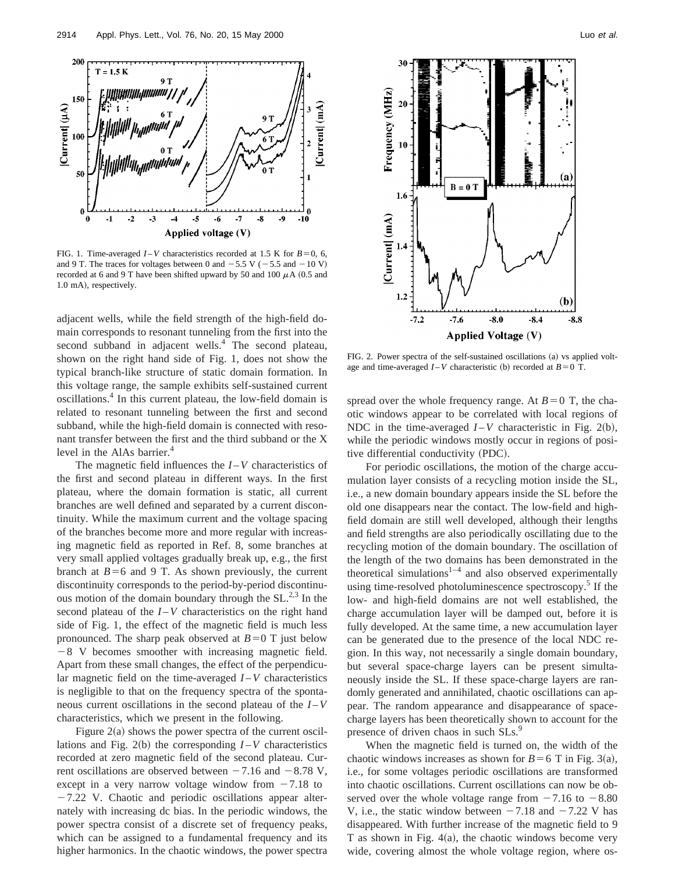

FIG. 1. Time-averaged  $I - V$  characteristics recorded at 1.5 K for  $B = 0, 6$ , and 9 T. The traces for voltages between 0 and  $-5.5$  V ( $-5.5$  and  $-10$  V) recorded at 6 and 9 T have been shifted upward by 50 and 100  $\mu$ A (0.5 and 1.0 mA), respectively.

adjacent wells, while the field strength of the high-field domain corresponds to resonant tunneling from the first into the second subband in adjacent wells.<sup>4</sup> The second plateau, shown on the right hand side of Fig. 1, does not show the typical branch-like structure of static domain formation. In this voltage range, the sample exhibits self-sustained current oscillations.4 In this current plateau, the low-field domain is related to resonant tunneling between the first and second subband, while the high-field domain is connected with resonant transfer between the first and the third subband or the X level in the AlAs barrier.<sup>4</sup>

The magnetic field influences the  $I - V$  characteristics of the first and second plateau in different ways. In the first plateau, where the domain formation is static, all current branches are well defined and separated by a current discontinuity. While the maximum current and the voltage spacing of the branches become more and more regular with increasing magnetic field as reported in Ref. 8, some branches at very small applied voltages gradually break up, e.g., the first branch at  $B=6$  and 9 T. As shown previously, the current discontinuity corresponds to the period-by-period discontinuous motion of the domain boundary through the SL.<sup>2,3</sup> In the second plateau of the  $I - V$  characteristics on the right hand side of Fig. 1, the effect of the magnetic field is much less pronounced. The sharp peak observed at  $B=0$  T just below  $-8$  V becomes smoother with increasing magnetic field. Apart from these small changes, the effect of the perpendicular magnetic field on the time-averaged *I* –*V* characteristics is negligible to that on the frequency spectra of the spontaneous current oscillations in the second plateau of the *I* –*V* characteristics, which we present in the following.

Figure  $2(a)$  shows the power spectra of the current oscillations and Fig. 2(b) the corresponding  $I - V$  characteristics recorded at zero magnetic field of the second plateau. Current oscillations are observed between  $-7.16$  and  $-8.78$  V, except in a very narrow voltage window from  $-7.18$  to  $-7.22$  V. Chaotic and periodic oscillations appear alternately with increasing dc bias. In the periodic windows, the power spectra consist of a discrete set of frequency peaks, which can be assigned to a fundamental frequency and its higher harmonics. In the chaotic windows, the power spectra



FIG. 2. Power spectra of the self-sustained oscillations (a) vs applied voltage and time-averaged  $I - V$  characteristic (b) recorded at  $B = 0$  T.

spread over the whole frequency range. At  $B=0$  T, the chaotic windows appear to be correlated with local regions of NDC in the time-averaged  $I - V$  characteristic in Fig. 2(b), while the periodic windows mostly occur in regions of positive differential conductivity (PDC).

For periodic oscillations, the motion of the charge accumulation layer consists of a recycling motion inside the SL, i.e., a new domain boundary appears inside the SL before the old one disappears near the contact. The low-field and highfield domain are still well developed, although their lengths and field strengths are also periodically oscillating due to the recycling motion of the domain boundary. The oscillation of the length of the two domains has been demonstrated in the theoretical simulations $1-4$  and also observed experimentally using time-resolved photoluminescence spectroscopy.<sup>5</sup> If the low- and high-field domains are not well established, the charge accumulation layer will be damped out, before it is fully developed. At the same time, a new accumulation layer can be generated due to the presence of the local NDC region. In this way, not necessarily a single domain boundary, but several space-charge layers can be present simultaneously inside the SL. If these space-charge layers are randomly generated and annihilated, chaotic oscillations can appear. The random appearance and disappearance of spacecharge layers has been theoretically shown to account for the presence of driven chaos in such SLs.<sup>9</sup>

When the magnetic field is turned on, the width of the chaotic windows increases as shown for  $B=6$  T in Fig. 3(a), i.e., for some voltages periodic oscillations are transformed into chaotic oscillations. Current oscillations can now be observed over the whole voltage range from  $-7.16$  to  $-8.80$ V, i.e., the static window between  $-7.18$  and  $-7.22$  V has disappeared. With further increase of the magnetic field to 9 T as shown in Fig.  $4(a)$ , the chaotic windows become very wide, covering almost the whole voltage region, where os-